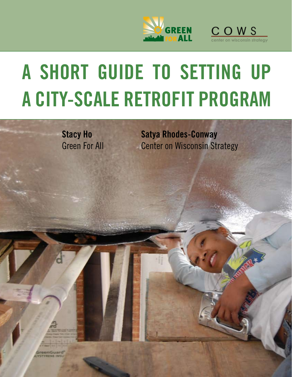



# **A Short Guide to Setting Up a City-Scale Retrofit Program**

**Stacy Ho** Green For All

**Satya Rhodes-Conway** Center on Wisconsin Strategy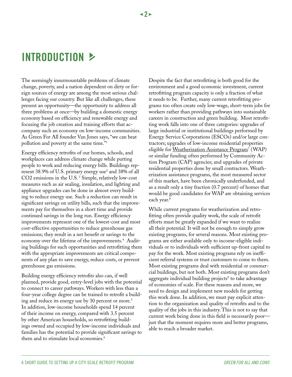# **IntroductioN** j

The seemingly insurmountable problems of climate change, poverty, and a nation dependent on dirty or foreign sources of energy are among the most serious challenges facing our country. But like all challenges, these present an opportunity—the opportunity to address all three problems at once—by building a domestic energy economy based on efficiency and renewable energy and focusing the job creation and training efforts that accompany such an economy on low-income communities. As Green For All founder Van Jones says, "we can beat pollution and poverty at the same time."1

Energy efficiency retrofits of our homes, schools, and workplaces can address climate change while putting people to work and reducing energy bills. Buildings represent 38.9% of U.S. primary energy use<sup>2</sup> and 38% of all CO2 emissions in the U.S. 3 Simple, relatively low-cost measures such as air sealing, insulation, and lighting and appliance upgrades can be done in almost every building to reduce energy use. Such a reduction can result in significant savings on utility bills, such that the improvements pay for themselves in a short time and provide continued savings in the long run. Energy efficiency improvements represent one of the lowest-cost and most cost-effective opportunities to reduce greenhouse gas emissions; they result in a net benefit or savings to the economy over the lifetime of the improvements.<sup>4</sup> Auditing buildings for such opportunities and retrofitting them with the appropriate improvements are critical components of any plan to save energy, reduce costs, or prevent greenhouse gas emissions.

Building energy efficiency retrofits also can, if well planned, provide good, entry-level jobs with the potential to connect to career pathways. Workers with less than a four-year college degree can be trained to retrofit a building and reduce its energy use by 30 percent or more.<sup>5</sup> In addition, low-income households spend 14 percent of their income on energy, compared with 3.5 percent by other American households, so retrofitting buildings owned and occupied by low-income individuals and families has the potential to provide significant savings to them and to stimulate local economies.<sup>6</sup>

Despite the fact that retrofitting is both good for the environment and a good economic investment, current retrofitting program capacity is only a fraction of what it needs to be. Further, many current retrofitting programs too often create only low-wage, short-term jobs for workers rather than providing pathways into sustainable careers in construction and green building. Most retrofitting work falls into one of three categories: upgrades of large industrial or institutional buildings performed by Energy Service Corporations (ESCOs) and/or large contractors; upgrades of low-income residential properties eligible for [Weatherization Assistance Program](http://apps1.eere.energy.gov/weatherization/)<sup>7</sup> (WAP) or similar funding often performed by Community Action Program (CAP) agencies; and upgrades of private residential properties done by small contractors. Weatherization assistance programs, the most measured sector of this market, have been chronically underfunded, and as a result only a tiny fraction (0.7 percent) of homes that would be good candidates for WAP are obtaining services each year.<sup>8</sup>

While current programs for weatherization and retrofitting often provide quality work, the scale of retrofit efforts must be greatly expanded if we want to realize all their potential. It will not be enough to simply grow existing programs, for several reasons. Most existing programs are either available only to income-eligible individuals or to individuals with sufficient up-front capital to pay for the work. Most existing programs rely on inefficient referral systems or trust customers to come to them. Most existing programs deal with residential or commercial buildings, but not both. Most existing programs don't aggregate individual building projects<sup>9</sup> to take advantage of economies of scale. For these reasons and more, we need to design and implement new models for getting this work done. In addition, we must pay explicit attention to the organization and quality of retrofits and to the quality of the jobs in this industry. This is not to say that current work being done in this field is necessarily poor just that the moment requires more and better programs, able to reach a broader market.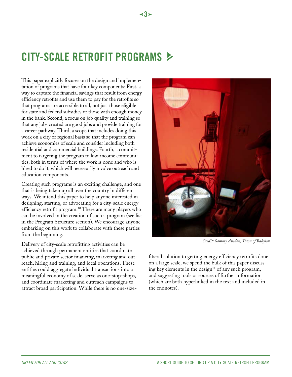# **City-Scale Retrofit Programs** j

 $\leq$ 3 $\geq$ 

This paper explicitly focuses on the design and implementation of programs that have four key components: First, a way to capture the financial savings that result from energy efficiency retrofits and use them to pay for the retrofits so that programs are accessible to all, not just those eligible for state and federal subsidies or those with enough money in the bank. Second, a focus on job quality and training so that any jobs created are good jobs and provide training for a career pathway. Third, a scope that includes doing this work on a city or regional basis so that the program can achieve economies of scale and consider including both residential and commercial buildings. Fourth, a commitment to targeting the program to low-income communities, both in terms of where the work is done and who is hired to do it, which will necessarily involve outreach and education components.

Creating such programs is an exciting challenge, and one that is being taken up all over the country in different ways. We intend this paper to help anyone interested in designing, starting, or advocating for a city-scale energy efficiency retrofit program.<sup>10</sup> There are many players who can be involved in the creation of such a program (see list in the Program Structure section). We encourage anyone embarking on this work to collaborate with these parties from the beginning.

Delivery of city-scale retrofitting activities can be achieved through permanent entities that coordinate public and private sector financing, marketing and outreach, hiring and training, and local operations. These entities could aggregate individual transactions into a meaningful economy of scale, serve as one-stop-shops, and coordinate marketing and outreach campaigns to attract broad participation. While there is no one-size-



*Credit: Sammy Avedon, Town of Babylon*

fits-all solution to getting energy efficiency retrofits done on a large scale, we spend the bulk of this paper discussing key elements in the design $11$  of any such program, and suggesting tools or sources of further information (which are both hyperlinked in the text and included in the endnotes).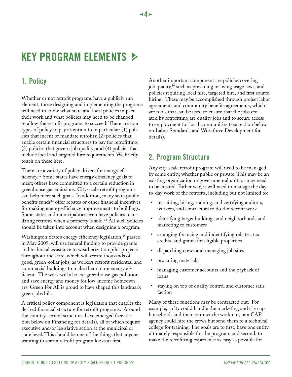# **Key Program Elements** j

## **1. Policy**

Whether or not retrofit programs have a publicly run element, those designing and implementing the programs will need to know what state and local policies impact their work and what policies may need to be changed to allow the retrofit programs to succeed. There are four types of policy to pay attention to in particular: (1) policies that incent or mandate retrofits; (2) policies that enable certain financial structures to pay for retrofitting; (3) policies that govern job quality; and (4) policies that include local and targeted hire requirements. We briefly touch on these here.

There are a variety of policy drivers for energy efficiency.12 Some states have energy efficiency goals to meet; others have committed to a certain reduction in greenhouse gas emissions. City-scale retrofit programs can help meet such goals. In addition, many state public [benefits funds](http://www.dsireusa.org/Index.cfm?RE=0&EE=1)<sup>13</sup> offer rebates or other financial incentives for making energy efficiency improvements to buildings. Some states and municipalities even have policies mandating retrofits when a property is sold.<sup>14</sup> All such policies should be taken into account when designing a program.

[Washington State's energy efficiency legislation](http://www.greenforall.org/blog/historic-green-jobs-bill-signed-in-washington-state), 15 passed in May 2009, will use federal funding to provide grants and technical assistance to weatherization pilot projects throughout the state, which will create thousands of good, green-collar jobs, as workers retrofit residential and commercial buildings to make them more energy efficient. The work will also cut greenhouse gas pollution and save energy and money for low-income homeowners. Green For All is proud to have shaped this landmark green jobs bill.

A critical policy component is legislation that enables the desired financial structure for retrofit programs. Around the country, several structures have emerged (see section below on Financing for details), all of which require executive and/or legislative action at the municipal or state level. This should be one of the things that anyone wanting to start a retrofit program looks at first.

Another important component are policies covering job quality,16 such as prevailing or living wage laws, and policies requiring local hire, targeted hire, and first source hiring. These may be accomplished through project labor agreements and community benefits agreements, which are tools that can be used to ensure that the jobs created by retrofitting are quality jobs and to secure access to employment for local communities (see section below on Labor Standards and Workforce Development for details).

## **2. Program Structure**

Any city-scale retrofit program will need to be managed by some entity, whether public or private. This may be an existing organization or governmental unit, or may need to be created. Either way, it will need to manage the dayto-day work of the retrofits, including but not limited to:

- • recruiting, hiring, training, and certifying auditors, workers, and contractors to do the retrofit work
- identifying target buildings and neighborhoods and marketing to customers
- arranging financing and indentifying rebates, tax credits, and grants for eligible properties
- dispatching crews and managing job sites
- procuring materials
- managing customer accounts and the payback of loans
- staying on top of quality control and customer satisfaction

Many of these functions may be contracted out. For example, a city could handle the marketing and sign up households and then contract the work out, or a CAP agency could hire the crews but send them to a technical college for training. The goals are to first, have one entity ultimately responsible for the program, and second, to make the retrofitting experience as easy as possible for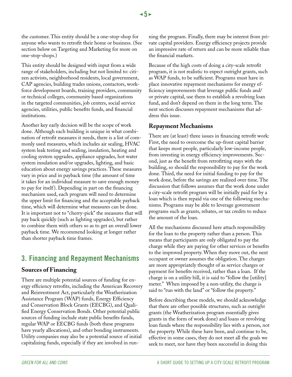the customer. This entity should be a one-stop-shop for anyone who wants to retrofit their home or business. (See section below on Targeting and Marketing for more on one-stop-shops.)

This entity should be designed with input from a wide range of stakeholders, including but not limited to: citizen activists, neighborhood residents, local government, CAP agencies, building trades unions, contactors, workforce development boards, training providers, community or technical colleges, community based organizations in the targeted communities, job centers, social service agencies, utilities, public benefits funds, and financial institutions.

Another key early decision will be the scope of work done. Although each building is unique in what combination of retrofit measures it needs, there is a list of commonly used measures, which includes air sealing, HVAC system leak testing and sealing, insulation, heating and cooling system upgrades, appliance upgrades, hot water system insulation and/or upgrades, lighting, and basic education about energy savings practices. These measures vary in price and in payback time (the amount of time it takes for an individual measure to save enough money to pay for itself ). Depending in part on the financing mechanism used, each program will need to determine the upper limit for financing and the acceptable payback time, which will determine what measures can be done. It is important not to "cherry-pick" the measures that will pay back quickly (such as lighting upgrades), but rather to combine them with others so as to get an overall lower payback time. We recommend looking at longer rather than shorter payback time frames.

## **3. Financing and Repayment Mechanisms**

#### **Sources of Financing**

There are multiple potential sources of funding for energy efficiency retrofits, including the American Recovery and Reinvestment Act, particularly the Weatherization Assistance Program (WAP) funds, Energy Efficiency and Conservation Block Grants (EECBG), and Qualified Energy Conservation Bonds. Other potential public sources of funding include state public benefits funds, regular WAP or EECBG funds (both these programs have yearly allocations), and other bonding instruments. Utility companies may also be a potential source of initial capitalizing funds, especially if they are involved in running the program. Finally, there may be interest from private capital providers. Energy efficiency projects provide an impressive rate of return and can be more reliable than the financial markets.

Because of the high costs of doing a city-scale retrofit program, it is not realistic to expect outright grants, such as WAP funds, to be sufficient. Programs must have in place innovative repayment mechanisms for energy efficiency improvements that leverage public funds and/ or private capital, use them to establish a revolving loan fund, and don't depend on them in the long term. The next section discusses repayment mechanisms that address this issue.

#### **Repayment Mechanisms**

There are (at least) three issues in financing retrofit work: First, the need to overcome the up-front capital barrier that keeps most people, particularly low-income people, from investing in energy efficiency improvements. Second, just as the benefit from retrofitting stays with the building, so should the responsibility to pay for the work done. Third, the need for initial funding to pay for the work done, before the savings are realized over time. The discussion that follows assumes that the work done under a city-scale retrofit program will be initially paid for by a loan which is then repaid via one of the following mechanisms. Programs may be able to leverage government programs such as grants, rebates, or tax credits to reduce the amount of the loan.

All the mechanisms discussed here attach responsibility for the loan to the property rather than a person. This means that participants are only obligated to pay the charge while they are paying for other services or benefits to the improved property. When they move out, the next occupant or owner assumes the obligation. The charges are more appropriately thought of as service charges or payment for benefits received, rather than a loan. If the charge is on a utility bill, it is said to "follow the [utility] meter." When imposed by a non-utility, the charge is said to "run with the land" or "follow the property."

Before describing these models, we should acknowledge that there are other possible structures, such as outright grants (the Weatherization program essentially gives grants in the form of work done) and loans or revolving loan funds where the responsibility lies with a person, not the property. While these have been, and continue to be, effective in some cases, they do not meet all the goals we seek to meet, nor have they been successful in doing this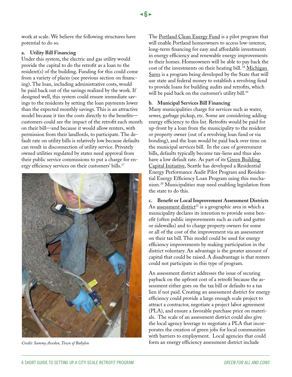work at scale. We believe the following structures have potential to do so.

#### **a. Utility Bill Financing**

Under this system, the electric and gas utility would provide the capital to do the retrofit as a loan to the resident(s) of the building. Funding for this could come from a variety of places (see previous section on financing). The loan, including administrative costs, would be paid back out of the savings realized by the work. If designed well, this system could ensure immediate savings to the residents by setting the loan payments lower than the expected monthly savings. This is an attractive model because it ties the costs directly to the benefits customers could see the impact of the retrofit each month on their bill—and because it would allow renters, with permission from their landlords, to participate. The default rate on utility bills is relatively low because defaults can result in disconnection of utility service. Privately owned utilities regulated by states need approval from their public service commissions to put a charge for energy efficiency services on their customers' bills.<sup>17</sup>



The [Portland Clean Energy Fund](http://www.portlandonline.com/osd/index.cfm?c=50152&) is a pilot program that will enable Portland homeowners to access low-interest, long-term financing for easy and affordable investments in energy efficiency and renewable energy improvements to their homes. Homeowners will be able to pay back the cost of the investments on their heating bill.<sup>18</sup> Michigan [Saves](http://michigan.gov/mpsc/0,1607,7-159-16377_47107_51666---,00.html) is a program being developed by the State that will use state and federal money to establish a revolving fund to provide loans for building audits and retrofits, which will be paid back on the customer's utility bill.<sup>19</sup>

#### **b. Municipal Services Bill Financing**

Many municipalities charge for services such as water, sewer, garbage pickup, etc. Some are considering adding energy efficiency to this list. Retrofits would be paid for up-front by a loan from the municipality to the resident or property owner (out of a revolving loan fund or via bonding), and the loan would be paid back over time on the municipal services bill. In the case of government bills, defaults typically become tax-liens and thus also have a low default rate. As part of its Green Building [Capital Initiative](http://www.seattle.gov/environment/GBtaskforce.htm), Seattle has developed a Residential Energy Performance Audit Pilot Program and Residential Energy Efficiency Loan Program using this mechanism.20 Municipalities may need enabling legislation from the state to do this.

**c. Benefit or Local Improvement Assessment Districts** An <u>[assessment district](http://www.safca.org/assessments/whatisassessment.html)<sup>21</sup></u> is a geographic area in which a municipality declares its intention to provide some benefit (often public improvements such as curb and gutter or sidewalks) and to charge property owners for some or all of the cost of the improvement via an assessment on their tax bill. This model could be used for energy efficiency improvements by making participation in the district voluntary. An advantage is the greater amount of capital that could be raised. A disadvantage is that renters could not participate in this type of program.

An assessment district addresses the issue of securing payback on the upfront cost of a retrofit because the assessment either goes on the tax bill or defaults to a tax lien if not paid. Creating an assessment district for energy efficiency could provide a large enough scale project to attract a contractor, negotiate a project labor agreement (PLA), and ensure a favorable purchase price on materials. The scale of an assessment district could also give the local agency leverage to negotiate a PLA that incorporates the creation of green jobs for local communities with barriers to employment. Local agencies that could *Credit: Sammy Avedon, Town of Babylon* form an energy efficiency assessment district include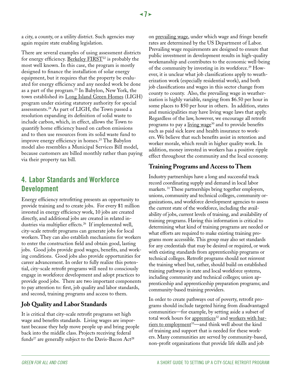a city, a county, or a utility district. Such agencies may again require state enabling legislation.

There are several examples of using assessment districts for energy efficiency. Berkeley  $\overline{\text{FIRST}}{}^{22}$  is probably the most well known. In this case, the program is mostly designed to finance the installation of solar energy equipment, but it requires that the property be evaluated for energy efficiency and any needed work be done as a part of the program.23 In Babylon, New York, the town established its [Long Island Green Homes](http://www.ligreenhomes.com) (LIGH) program under existing statutory authority for special assessments.24 As part of LIGH, the Town passed a resolution expanding its definition of solid waste to include carbon, which, in effect, allows the Town to quantify home efficiency based on carbon emissions and to then use resources from its solid waste fund to improve energy efficiency in homes.25 The Babylon model also resembles a Municipal Services Bill model, because customers are billed monthly rather than paying via their property tax bill.

## **4. Labor Standards and Workforce Development**

Energy efficiency retrofitting presents an opportunity to provide training and to create jobs. For every \$1 million invested in energy efficiency work, 10 jobs are created directly, and additional jobs are created in related industries via multiplier effects.<sup>26</sup> If implemented well, city-scale retrofit programs can generate jobs for local workers. They can also establish mechanisms for workers to enter the construction field and obtain good, lasting jobs. Good jobs provide good wages, benefits, and working conditions. Good jobs also provide opportunities for career advancement. In order to fully realize this potential, city-scale retrofit programs will need to consciously engage in workforce development and adopt practices to provide good jobs. There are two important components to pay attention to: first, job quality and labor standards, and second, training programs and access to them.

#### **Job Quality and Labor Standards**

It is critical that city-scale retrofit programs set high wage and benefits standards. Living wages are important because they help move people up and bring people back into the middle class. Projects receiving federal funds<sup>27</sup> are generally subject to the Davis-Bacon Act<sup>28</sup>

on [prevailing wage](http://www.communitybenefits.org/article.php?id=1197#requirements), under which wage and fringe benefit rates are determined by the US Department of Labor. Prevailing wage requirements are designed to ensure that public investment in development results in high-quality workmanship and contributes to the economic well-being of the community by investing in its workforce.<sup>29</sup> However, it is unclear what job classifications apply to weatherization work (especially residential work), and both job classifications and wages in this sector change from county to county. Also, the prevailing wage in weatherization is highly variable, ranging from \$6.50 per hour in some places to \$50 per hour in others. In addition, states and municipalities may have living wage laws that apply. Regardless of the law, however, we encourage all retrofit programs to pay a [living wage](http://www.communitybenefits.org/article.php?list=type&type=96&printsafe=1)<sup>30</sup> and to provide benefits such as paid sick leave and health insurance to workers. We believe that such benefits assist in retention and worker morale, which result in higher quality work. In addition, money invested in workers has a positive ripple effect throughout the community and the local economy.

#### **Training Programs and Access to Them**

Industry partnerships have a long and successful track record coordinating supply and demand in local labor markets.<sup>31</sup> These partnerships bring together employers, unions, community and technical colleges, community organizations, and workforce development agencies to assess the current state of the workforce, including the availability of jobs, current levels of training, and availability of training programs. Having this information is critical to determining what kind of training programs are needed or what efforts are required to make existing training programs more accessible. This group may also set standards for any credentials that may be desired or required, or work with existing standards from apprenticeship programs or technical colleges. Retrofit programs should not reinvent the training wheel but, rather, should build on established training pathways in state and local workforce systems, including community and technical colleges; union apprenticeship and apprenticeship preparation programs; and community-based training providers.

In order to create pathways out of poverty, retrofit programs should include targeted hiring from disadvantaged communities—for example, by setting aside a subset of total work hours for [apprentices](http://www.communitybenefits.org/article.php?id=1197#utilization)<sup>32</sup> and [workers with bar](http://www.communitybenefits.org/article.php?id=1197#pla)[riers to employment](http://www.communitybenefits.org/article.php?id=1197#pla) 33—and think well about the kind of training and support that is needed for these workers. Many communities are served by community-based, non-profit organizations that provide life skills and job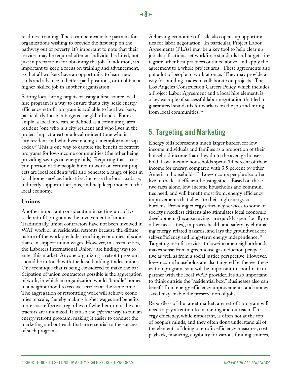readiness training. These can be invaluable partners for organizations wishing to provide the first step on the pathway out of poverty. It's important to note that their services may be required after an individual is hired, not just in preparation for obtaining the job. In addition, it's important to keep a focus on training and advancement, so that all workers have an opportunity to learn new skills and advance to better-paid positions, or to obtain a higher-skilled job in another organization.

Setting [local hiring](http://www.communitybenefits.org/article.php?id=1197#pla) targets or using a first-source local hire program is a way to ensure that a city-scale energy efficiency retrofit program is available to local workers, particularly those in targeted neighborhoods. For example, a local hire can be defined as a community area resident (one who is a city resident and who lives in the project impact area) or a local resident (one who is a city resident and who lives in a high unemployment zip code).34 This is one way to capture the benefit of retrofit programs for low-income communities (the other being providing savings on energy bills). Requiring that a certain portion of the people hired to work on retrofit projects are local residents will also generate a range of jobs in local home services industries, increase the local tax base, indirectly support other jobs, and help keep money in the local economy.

#### **Unions**

Another important consideration in setting up a cityscale retrofit program is the involvement of unions. Traditionally, union contractors have not been involved in WAP work or in residential retrofits because the diffuse nature of the work precludes reaching economies of scale that can support union wages. However, in several cities, the Laborers International Union<sup>35</sup> are finding ways to enter this market. Anyone organizing a retrofit program should be in touch with the local building trades unions. One technique that is being considered to make the participation of union contractors possible is the aggregation of work, in which an organization would *"*bundle" homes in a neighborhood to receive services at the same time. The aggregation of retrofitting work will achieve economies of scale, thereby making higher wages and benefits more cost-effective, regardless of whether or not the contractors are unionized. It is also the *efficient* way to run an energy retrofit program, making it easier to conduct the marketing and outreach that are essential to the success of such programs.

Achieving economies of scale also opens up opportunities for labor negotiation. In particular, Project Labor Agreements (PLAs) may be a key tool to help clear up job classifications, set workforce standards and targets, integrate other best practices outlined above, and apply the agreement to a whole project area. These agreements also put a lot of people to work at once. They may provide a way for building trades to collaborate on projects. The [Los Angeles Construction Careers Policy,](http://74.10.59.52/laane/projects/ConstructionCareers/index.html) which includes a Project Labor Agreement and a local hire element, is a key example of successful labor negotiation that led to guaranteed standards for workers on the job and hiring from local communities.36

## **5. Targeting and Marketing**

Energy bills represent a much larger burden for lowincome individuals and families as a proportion of their household income than they do to the average household. Low-income households spend 14 percent of their income for energy, compared with 3.5 percent by other American households.<sup>37</sup> Low-income people also often live in the least efficient housing stock. Based on these two facts alone, low-income households and communities need, and will benefit most from, energy efficiency improvements that alleviate their high energy cost burdens. Providing energy efficiency services to some of society's neediest citizens also stimulates local economic development (because savings are quickly spent locally on other necessities), improves health and safety by eliminating energy-related hazards, and lays the groundwork for self-sufficiency and long-term energy independence.<sup>38</sup> Targeting retrofit services to low-income neighborhoods makes sense from a greenhouse gas reduction perspective as well as from a social justice perspective. However, low-income households are also targeted by the weatherization program, so it will be important to coordinate or partner with the local WAP provider. It's also important to think outside the "residential box." Businesses also can benefit from energy efficiency improvements, and money saved may enable the preservation of jobs.

Regardless of the target market, any retrofit program will need to pay attention to marketing and outreach. Energy efficiency, while important, is often not at the top of people's minds, and they often don't understand all of the elements of doing a retrofit: efficiency measures, cost, payback, financing, eligibility for various funding sources,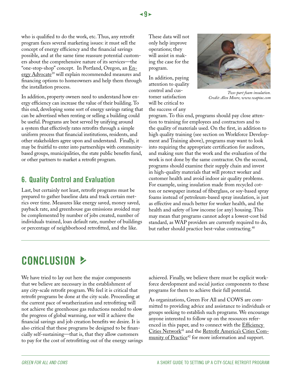who is qualified to do the work, etc. Thus, any retrofit program faces several marketing issues: it must sell the concept of energy efficiency and the financial savings possible, and at the same time reassure potential customers about the comprehensive nature of its services—the "one-stop-shop" concept. In Portland, Oregon, an [En](http://www.portlandonline.com/osd/index.cfm?a=242544&c=50152)[ergy Advocate](http://www.portlandonline.com/osd/index.cfm?a=242544&c=50152)<sup>39</sup> will explain recommended measures and financing options to homeowners and help them through the installation process.

In addition, property owners need to understand how energy efficiency can increase the value of their building. To this end, developing some sort of energy savings rating that can be advertised when renting or selling a building could be useful. Programs are best served by unifying around a system that effectively rates retrofits through a simple uniform process that financial institutions, residents, and other stakeholders agree upon and understand. Finally, it may be fruitful to enter into partnerships with communitybased groups, municipalities, the state public benefits fund, or other partners to market a retrofit program.

### **6. Quality Control and Evaluation**

Last, but certainly not least, retrofit programs must be prepared to gather baseline data and track certain metrics over time. Measures like energy saved, money saved, payback rate, and greenhouse gas emissions avoided may be complemented by number of jobs created, number of individuals trained, loan default rate, number of buildings or percentage of neighborhood retrofitted, and the like.

These data will not only help improve operations; they will assist in making the case for the program.

In addition, paying attention to quality control and customer satisfaction will be critical to the success of any



*Two-part foam insulation. Credit: Alex Moore, www.waptac.com*

program. To this end, programs should pay close attention to training for employees and contractors and to the quality of materials used. On the first, in addition to high quality training (see section on Workforce Development and Training above), programs may want to look into requiring the appropriate certification for auditors, and making sure that the work and the evaluation of the work is not done by the same contractor. On the second, programs should examine their supply chain and invest in high-quality materials that will protect worker and customer health and avoid indoor air quality problems. For example, using insulation made from recycled cotton or newspaper instead of fiberglass, or soy-based spray foams instead of petroleum-based spray insulation, is just as effective and much better for worker health, and the health and safety of low income (or any) housing. This may mean that programs cannot adopt a lowest-cost bid standard, as WAP providers are currently required to do, but rather should practice best-value contracting.<sup>40</sup>

## **Conclusion** j

We have tried to lay out here the major components that we believe are necessary in the establishment of any city-scale retrofit program. We feel it is critical that retrofit programs be done at the city scale. Proceeding at the current pace of weatherization and retrofitting will not achieve the greenhouse gas reductions needed to slow the progress of global warming, nor will it achieve the financial savings and job creation benefits we desire. It is also critical that these programs be designed to be financially self-sustaining—that is, that they allow customers to pay for the cost of retrofitting out of the energy savings achieved. Finally, we believe there must be explicit workforce development and social justice components to these programs for them to achieve their full potential.

As organizations, Green For All and COWS are committed to providing advice and assistance to individuals or groups seeking to establish such programs. We encourage anyone interested to follow up on the resources referenced in this paper, and to connect with the Efficiency [Cities Network](http://www.efficiencycities.us/)<sup>41</sup> and the [Retrofit America's Cities Com](http://www.greenforall.org/what-we-do/building-a-movement/community-of-practice/retrofit-americas-cities)[munity of Practice](http://www.greenforall.org/what-we-do/building-a-movement/community-of-practice/retrofit-americas-cities)<sup>42</sup> for more information and support.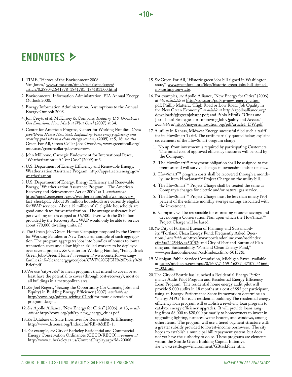# **Endnotes** j

- 1. TIME, "Heroes of the Environment 2008: Van Jones," [www.time.com/time/specials/packages/](http://www.time.com/time/specials/packages/article/0,28804,1841778_1841781_1841811,00.html) [article/0,28804,1841778\\_1841781\\_1841811,00.html](http://www.time.com/time/specials/packages/article/0,28804,1841778_1841781_1841811,00.html)
- 2. Environmental Information Administration, EIA Annual Energy Outlook 2008.
- 3. Energy Information Administration, Assumptions to the Annual Energy Outlook 2008.
- 4. Jon Creyts et al, McKinsey & Company, *Reducing U.S. Greenhouse Gas Emissions: How Much at What Cost?* (2007) at 34.
- 5. Center for American Progress, Center for Working Families, *Green Jobs/Green Homes New York: Expanding home energy efficiency and creating good jobs in a clean energy economy* (2009) at 5, 16; *see also*  Green For All, Green Collar Jobs Overview*,* www.greenforall.org/ resources/green-collar-jobs-overview.
- 6. John Millhone, Carnegie Endowment for International Peace, 'Weatherization—A Test Case" (2009) at 3.
- 7. U.S. Department of Energy Efficiency and Renewable Energy, Weatherization Assistance Program, [http://apps1.eere.energy.gov/](http://apps1.eere.energy.gov/weatherization) [weatherization](http://apps1.eere.energy.gov/weatherization).
- 8. U.S. Department of Energy, Energy Efficiency and Renewable Energy, "Weatherization Assistance Program—The American Recovery and Reinvestment Act of 2009" at 1, *available at* [http://apps1.eere.energy.gov/weatherization/pdfs/wx\\_recovery\\_](http://apps1.eere.energy.gov/weatherization/pdfs/wx_recovery_fact_sheet.pdf) [fact\\_sheet.pdf.](http://apps1.eere.energy.gov/weatherization/pdfs/wx_recovery_fact_sheet.pdf) About 38 million households are currently eligible for WAP services. About 15 million of all eligible households are good candidates for weatherization. The average assistance level per dwelling unit is capped at \$6,500. Even with the \$5 billion provided by the Recovery Act, WAP would only be able to service about 770,000 dwelling units. *Id.*
- 9. The Green Jobs/Green Homes Campaign proposed by the Center for Working Families in New York is an example of such aggregation. The program aggregates jobs into bundles of houses to lower transaction costs and allow higher-skilled workers to be deployed over several projects. *See* Center for Working Families, "Policy Brief: Green Jobs/Green Homes", *available at* [www.centerforworking](http://www.centerforworkingfamilies.info/cleanenergygreenjobs/CWF GJGH Policy Brief.pdf)[families.info/cleanenergygreenjobs/CWF%20GJGH%20Policy%20](http://www.centerforworkingfamilies.info/cleanenergygreenjobs/CWF GJGH Policy Brief.pdf) [Brief.pdf](http://www.centerforworkingfamilies.info/cleanenergygreenjobs/CWF GJGH Policy Brief.pdf)
- 10.We use "city-scale" to mean programs that intend to cover, or at least have the potential to cover (through cost-recovery), most or all buildings in a metropolitan area.
- 11.*See* Joel Rogers, "Seizing the Opportunity (for Climate, Jobs, and Equity) in Building Energy Efficiency (2007), *available at* <http://cows.org/pdf/rp-seizing-07.pdf>for more discussion of program design.
- 12.*See* Apollo Alliance, "New Energy for Cities" (2006), at 13, *available at* [http://cows.org/pdf/rp-new\\_energy\\_cities.pdf](http://cows.org/pdf/rp-new_energy_cities.pdf).
- 13.*See* Database of State Incentives for Renewables & Efficiency, [http://www.dsireusa.org/Index.cfm?RE=0&EE=1.](http://www.dsireusa.org/Index.cfm?RE=0&EE=1)
- 14.For example, *see* City of Berkeley Residential and Commercial Energy Conservation Ordinances (CECO/RECO), *available at*  <http://www.ci.berkeley.ca.us/ContentDisplay.aspx?id=20068>.

15.*See* Green For All, "Historic green jobs bill signed in Washington state," [www.greenforall.org/blog/historic-green-jobs-bill-signed](http://www.greenforall.org/blog/historic-green-jobs-bill-signed-in-washington-state)[in-washington-state](http://www.greenforall.org/blog/historic-green-jobs-bill-signed-in-washington-state)*.*

**10** 

- 16.For examples, *see* Apollo Alliance, "New Energy for Cities" (2006) at 46, *available at* [http://cows.org/pdf/rp-new\\_energy\\_cities.](http://cows.org/pdf/rp-new_energy_cities.pdf) [pdf;](http://cows.org/pdf/rp-new_energy_cities.pdf) Phillip Mattera, "High Road or Low Road? Job Quality in the New Green Economy," *available at* [http://apolloalliance.org/](http://apolloalliance.org/downloads/gjfgreenjobsrpt.pdf) [downloads/gjfgreenjobsrpt.pdf;](http://apolloalliance.org/downloads/gjfgreenjobsrpt.pdf) and Pablo Mitnik, "Cities and Jobs: Local Strategies for Improving Job Quality and Access,' *available at* [http://mayorsinnovation.org/pdf/article1\\_DW.pdf.](http://mayorsinnovation.org/pdf/article1_DW.pdf)
- 17.A utility in Kansas, Midwest Energy, successful filed such a tariff for its How\$mart Tariff. The tariff, partially quoted below, explains six elements of the How\$mart program charge.
	- 1. No up-front investment is required by participating Customers. The initial cost of approved efficiency measures will be paid by the Company.
	- 2. The How\$mart™ repayment obligation shall be assigned to the premises and will survive changes in ownership and/or tenancy.
	- 3. How\$mart™ program costs shall be recovered through a monthly line item How\$mart™ Project Charge on the utility bill.
	- The How\$mart™ Project Charge shall be treated the same as Company's charges for electric and/or natural gas service….
	- 5. The How\$mart™ Project Charge must be less than ninety (90) percent of the estimate monthly average savings associated with the investment.
	- 6. Company will be responsible for estimating resource savings and developing a Conservation Plan upon which the How\$mart™ Project Charge will be based.
- 18.*See* City of Portland Bureau of Planning and Sustainability, "Portland Clean Energy Fund: Frequently Asked Questions," *available at* [http://www.portlandonline.com/osd/index.](http://www.portlandonline.com/osd/index.cfm?a=242544&c=50152) [cfm?a=242544&c=50152](http://www.portlandonline.com/osd/index.cfm?a=242544&c=50152); and City of Portland Bureau of Planning and Sustainability, "Portland Clean Energy Fund," [www.portlandonline.com/osd/index.cfm?c=50152&](http://www.portlandonline.com/osd/index.cfm?c=50152&).
- 19.Michigan Public Service Commission, Michigan Saves, available at [http://michigan.gov/mpsc/0,1607,7-159-16377\\_47107\\_51666-](http://michigan.gov/mpsc/0,1607,7-159-16377_47107_51666---,00.html) <u>--,00.html</u>.
- 20.The City of Seattle has launched a Residential Energy Performance Audit Pilot Program and Residential Energy Efficiency Loan Program. The residential home energy audit pilot will provide 5,000 audits in 18 months at a cost of \$95 per participant, using an Energy Performance Score framework to determine an "energy MPG" for each residential building. The residential energy efficiency loan program will establish a revolving loan program to catalyze energy efficiency upgrades. It will provide loans ranging from \$8,000 to \$20,000 primarily to homeowners to invest in upgrading lighting, furnaces, water heaters, and windows, among other items. The program will use a tiered payment structure with a greater subsidy provided to lowest-income borrowers. The city hopes to establish a municipal bill repayment system, but does not yet have the authority to do so. These programs are elements within the Seattle Green Building Capital Initiative. *See* [www.seattle.gov/environment/GBtaskforce.htm](http://www.seattle.gov/environment/GBtaskforce.htm).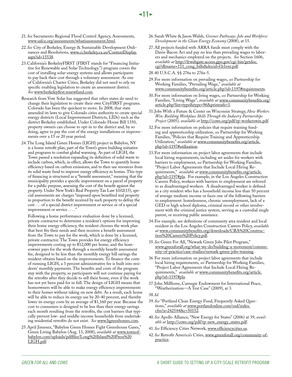- 21.*See* Sacramento Regional Flood Control Agency, Assessments, [www.safca.org/assessments/whatisassessment.html](http://www.safca.org/assessments/whatisassessment.html).
- 22.*See* City of Berkeley, Energy & Sustainable Development Ordinances and Resolutions, [www.ci.berkeley.ca.us/ContentDisplay.](http://www.ci.berkeley.ca.us/ContentDisplay.aspx?id=15538) [aspx?id=15538.](http://www.ci.berkeley.ca.us/ContentDisplay.aspx?id=15538)
- 23.California's BerkeleyFIRST (FIRST stands for "Financing Initiative for Renewable and Solar Technology.") program covers the cost of installing solar-energy systems and allows participants to pay back their cost through a voluntary assessment. As one of California's Charter Cities, Berkeley did not need to rely on specific enabling legislation to create an assessment district. *See* [www.berkeleyfirst.renewfund.com](http://www.berkeleyfirst.renewfund.com).
- Research from Vote Solar has suggested that other states do need to change their legislation to create their own CityFIRST programs. Colorado has been the quickest to move. In 2008, that state amended its laws to give Colorado cities authority to create special energy districts (Local Improvement Districts, LIDs) such as the district Berkeley established. Under Colorado House Bill 1350, property owners can choose to opt-in to the district and, by so doing, agree to pay the cost of the energy installations or improvements over a 15 or 20 year period.
- 24.The Long Island Green Homes (LIGH) project in Babylon, NY is a home retrofit plan, part of the Town's green building initiative and programs to combat global warming. As part of LIGH, the Town passed a resolution expanding its definition of solid waste to include carbon, which, in effect, allows the Town to quantify home efficiency based on carbon emissions, and to then use resources from its solid waste fund to improve energy efficiency in homes. This type of financing is structured as a "benefit assessment," meaning that the municipality provides a specific improvement on a parcel of property for a public purpose, assessing the cost of the benefit against the property. Under New York's Real Property Tax Law §102(15), special assessments are charges "imposed upon benefited real property in proportion to the benefit received by such property to defray the cost . . . of a special district improvement or service or of a special improvement or service . . . ."

Following a home performance evaluation done by a licensed, private contractor to determine a resident's options for improving their home energy efficiency, the resident chooses the work plan that best fits their needs and then receives a benefit assessment from the Town to pay for the work, which is done by a licensed, private contractor. The Town provides for energy efficiency improvements costing up to \$12,000 per home, and the homeowner pays for the work through a monthly benefit assessment fee, designed to be less than the monthly energy bill savings the resident obtains based on the improvements. To finance the costs of running LIGH, a 3 percent administrative fee is built into residents' monthly payments. The benefits and costs of the program stay with the property, so participants will not continue paying for the retrofits after they decide to sell their home, even if the work has not yet been paid for in full. The design of LIGH means that homeowners will be able to make energy efficiency improvements to their homes without taking on new debt. As a result, each home will be able to reduce its energy use by 20-40 percent, and thereby lower its energy costs by an average of \$1,160 per year. Because the cost to consumers is designed to be less than their energy savings each month resulting from the retrofits, the cost barriers that typically prevent low- and middle-income households from undertaking residential retrofits do not exist. *See* [www.ligreenhomes.com.](http://www.ligreenhomes.com)

25.April Jimenez, "Babylon Green Homes Fight Greenhouse Gases," Green Living Babylon (Aug. 13, 2008), *available at* [www.townof](http://www.townofbabylon.com/uploads/pdffiles/Long Island Press LIGH.pdf)[babylon.com/uploads/pdffiles/Long%20Island%20Press%20](http://www.townofbabylon.com/uploads/pdffiles/Long Island Press LIGH.pdf) [LIGH.pdf.](http://www.townofbabylon.com/uploads/pdffiles/Long Island Press LIGH.pdf)

- 26.Sarah White & Jason Walsh, *Greener Pathways: Jobs and Workforce Development in the Clean Energy Economy* (2008), at 15.
- 27.All projects funded with ARRA funds must comply with the Davis-Bacon Act and pay no less than prevailing wages to laborers and mechanics employed on the projects. *See* Section 1606, *available at* [http://frwebgate.access.gpo.gov/cgi-bin/getdoc.](http://frwebgate.access.gpo.gov/cgi-bin/getdoc.cgi?dbname=111_cong_bills&docid=f:h1enr.pdf) [cgi?dbname=111\\_cong\\_bills&docid=f:h1enr.pdf](http://frwebgate.access.gpo.gov/cgi-bin/getdoc.cgi?dbname=111_cong_bills&docid=f:h1enr.pdf).
- 28.40 U.S.C.A. §§ 276a to 276a-5.
- 29.For more information on prevailing wages, *see* Partnership for Working Families, "Prevailing Wage," *available at*  [www.communitybenefits.org/article.php?id=1197#requirements](http://www.communitybenefits.org/article.php?id=1197#requirements).
- 30.For more information on living wages, *see* Partnership for Working Families, "Living Wage", *available at* [www.communitybenefits.org/](http://www.communitybenefits.org/article.php?list=type&type=96&printsafe=1) [article.php?list=type&type=96&printsafe=1.](http://www.communitybenefits.org/article.php?list=type&type=96&printsafe=1)
- 31.Jobs With a Future & Center on Wisconsin Strategy, *How Workers Win: Building Workplace Skills Through the Industry Partnerships Project* (2005)*, available at* [http://cows.org/pdf/rp-workerswin.pdf.](http://cows.org/pdf/rp-workerswin.pdf)
- 32.For more information on policies that require training funding and apprenticeship utilization, *see* Partnership for Working Families, "Policies that Require Training and Apprenticeship Utilization," *available at* [www.communitybenefits.org/article.](http://www.communitybenefits.org/article.php?id=1197#utilization) [php?id=1197#utilization.](http://www.communitybenefits.org/article.php?id=1197#utilization)
- 33.For more information on project labor agreements that include local hiring requirements, including set asides for workers with barriers to employment, *see* Partnership for Working Families, "Project Labor Agreements that Include Local Hiring Requirements," *available at* [www.communitybenefits.org/article.](http://www.communitybenefits.org/article.php?id=1197#pla) [php?id=1197#pla.](http://www.communitybenefits.org/article.php?id=1197#pla) For example, in the Los Angeles Construction Careers Policy, workers with barriers to employment are referred to as disadvantaged workers. A disadvantaged worker is defined as a city resident who has a household income less than 50 percent of average medium income or faces one of the following barriers to employment: homelessness, chronic unemployment, lack of a GED or high school diploma, criminal record or other involvement with the criminal justice system, serving as a custodial single parent, or receiving public assistance.
- 34.For example, see definitions of community area resident and local resident in the Los Angeles Construction Careers Policy, *available at* [www.communitybenefits.org/downloads/CRA%20Construc](http://www.communitybenefits.org/downloads/CRA Construction Careers Policy.pdf)[tion%20Careers%20Policy.pdf](http://www.communitybenefits.org/downloads/CRA Construction Careers Policy.pdf).
- 35.*See* Green For All, "Newark Green Jobs Pilot Program," [www.greenforall.org/what-we-do/building-a-movement/commu](http://www.greenforall.org/what-we-do/building-a-movement/community-of-practice/case-studies/newark-green-jobs-training)[nity-of-practice/case-studies/newark-green-jobs-training](http://www.greenforall.org/what-we-do/building-a-movement/community-of-practice/case-studies/newark-green-jobs-training).
- 36 For more information on project labor agreements that include local hiring requirements, *see* Partnership for Working Families, "Project Labor Agreements that Include Local Hiring Requirements," *available at* [www.communitybenefits.org/article.](http://www.communitybenefits.org/article.php?id=1197#pla) [php?id=1197#pla.](http://www.communitybenefits.org/article.php?id=1197#pla)
- 37.John Millhone, Carnegie Endowment for International Peace, "Weatherization—A Test Case" (2009), at 3.

#### 38.*Id*.

- 39.*See* "Portland Clean Energy Fund, Frequently Asked Questions," *available at* [www.portlandonline.com/osd/index.](http://www.portlandonline.com/osd/index.cfm?a=242544&c=50152) [cfm?a=242544&c=50152](http://www.portlandonline.com/osd/index.cfm?a=242544&c=50152).
- 40.*See* Apollo Alliance, "New Energy for States" (2006) at 39, *available at* [http://cows.org/pdf/rp-new\\_energy\\_states.pdf.](http://cows.org/pdf/rp-new_energy_states.pdf)
- 41.*See* Efficiency Cities Network, [www.efficiencycities.us](http://www.efficiencycities.us).
- 42.*See* Retrofit America's Cities, [www.greenforall.org/community-of](http://www.greenforall.org/community-of-practice)[practice.](http://www.greenforall.org/community-of-practice)